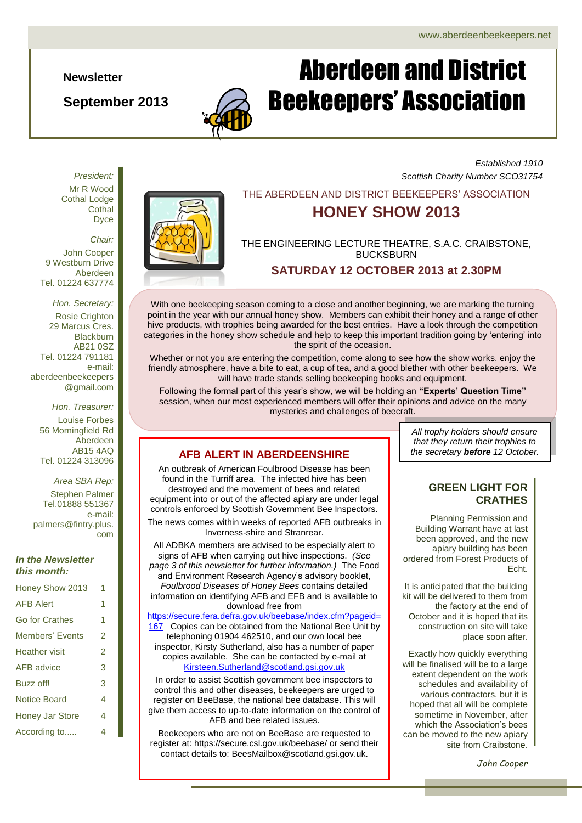**Newsletter**

*President:*

**September 2013**

#### *Established 1910 Scottish Charity Number SCO31754*

THE ABERDEEN AND DISTRICT BEEKEEPERS' ASSOCIATION

Aberdeen and District

Beekeepers' Association

## **HONEY SHOW 2013**

THE ENGINEERING LECTURE THEATRE, S.A.C. CRAIBSTONE, BUCKSBURN

**SATURDAY 12 OCTOBER 2013 at 2.30PM**



With one beekeeping season coming to a close and another beginning, we are marking the turning point in the year with our annual honey show. Members can exhibit their honey and a range of other hive products, with trophies being awarded for the best entries. Have a look through the competition categories in the honey show schedule and help to keep this important tradition going by 'entering' into

Whether or not you are entering the competition, come along to see how the show works, enjoy the friendly atmosphere, have a bite to eat, a cup of tea, and a good blether with other beekeepers. We will have trade stands selling beekeeping books and equipment.

the spirit of the occasion.

Following the formal part of this year's show, we will be holding an **"Experts' Question Time"** session, when our most experienced members will offer their opinions and advice on the many mysteries and challenges of beecraft.

## **AFB ALERT IN ABERDEENSHIRE**

An outbreak of American Foulbrood Disease has been found in the Turriff area. The infected hive has been destroyed and the movement of bees and related equipment into or out of the affected apiary are under legal controls enforced by Scottish Government Bee Inspectors.

The news comes within weeks of reported AFB outbreaks in Inverness-shire and Stranrear.

All ADBKA members are advised to be especially alert to signs of AFB when carrying out hive inspections. *(See page 3 of this newsletter for further information.)* The Food and Environment Research Agency's advisory booklet, *Foulbrood Diseases of Honey Bees* contains detailed information on identifying AFB and EFB and is available to download free from

[https://secure.fera.defra.gov.uk/beebase/index.cfm?pageid=](https://secure.fera.defra.gov.uk/beebase/index.cfm?pageid=167) [167](https://secure.fera.defra.gov.uk/beebase/index.cfm?pageid=167) Copies can be obtained from the National Bee Unit by telephoning 01904 462510, and our own local bee inspector, Kirsty Sutherland, also has a number of paper copies available. She can be contacted by e-mail at [Kirsteen.Sutherland@scotland.gsi.gov.uk](mailto:Kirsteen.Sutherland@scotland.gsi.gov.uk)

In order to assist Scottish government bee inspectors to control this and other diseases, beekeepers are urged to register on BeeBase, the national bee database. This will give them access to up-to-date information on the control of AFB and bee related issues.

Beekeepers who are not on BeeBase are requested to register at[: https://secure.csl.gov.uk/beebase/](https://secure.csl.gov.uk/beebase/) or send their contact details to: [BeesMailbox@scotland.gsi.gov.uk.](mailto:BeesMailbox@scotland.gsi.gov.uk)

*All trophy holders should ensure that they return their trophies to the secretary before 12 October.*

#### **GREEN LIGHT FOR CRATHES**

Planning Permission and Building Warrant have at last been approved, and the new apiary building has been ordered from Forest Products of Echt.

It is anticipated that the building kit will be delivered to them from the factory at the end of October and it is hoped that its construction on site will take place soon after.

Exactly how quickly everything will be finalised will be to a large extent dependent on the work schedules and availability of various contractors, but it is hoped that all will be complete sometime in November, after which the Association's bees can be moved to the new apiary site from Craibstone.

*John Cooper*

Mr R Wood Cothal Lodge **Cothal** Dyce *Chair:*

John Cooper 9 Westburn Drive Aberdeen Tel. 01224 637774

*Hon. Secretary:* Rosie Crighton 29 Marcus Cres. **Blackburn** AB21 0SZ Tel. 01224 791181 e-mail: aberdeenbeekeepers @gmail.com

*Hon. Treasurer:*

Louise Forbes 56 Morningfield Rd Aberdeen AB15 4AQ Tel. 01224 313096

*Area SBA Rep:*

Stephen Palmer Tel.01888 551367 e-mail: palmers@fintry.plus. com

#### *In the Newsletter this month:*

| Honey Show 2013        | 1 |
|------------------------|---|
| <b>AFB Alert</b>       | 1 |
| Go for Crathes         | 1 |
| Members' Events        | 2 |
| <b>Heather</b> visit   | 2 |
| AFB advice             | 3 |
| Buzz off!              | 3 |
| Notice Board           | 4 |
| <b>Honey Jar Store</b> | 4 |
| According to           | 4 |

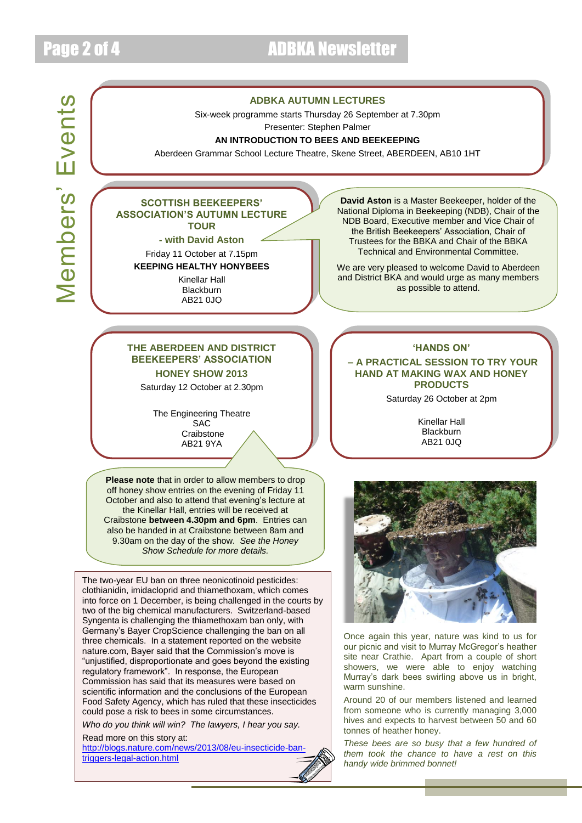# Page 2 of 4 ADBKA Newsletter

# **Members' Events** Members' Events

#### **ADBKA AUTUMN LECTURES**

Six-week programme starts Thursday 26 September at 7.30pm

Presenter: Stephen Palmer

#### **AN INTRODUCTION TO BEES AND BEEKEEPING**

Aberdeen Grammar School Lecture Theatre, Skene Street, ABERDEEN, AB10 1HT

#### **SCOTTISH BEEKEEPERS' ASSOCIATION'S AUTUMN LECTURE TOUR**

**- with David Aston**

#### Friday 11 October at 7.15pm **KEEPING HEALTHY HONYBEES**

Kinellar Hall **Blackburn** AB21 0JQ

**David Aston** is a Master Beekeeper, holder of the National Diploma in Beekeeping (NDB), Chair of the NDB Board, Executive member and Vice Chair of the British Beekeepers' Association, Chair of Trustees for the BBKA and Chair of the BBKA Technical and Environmental Committee.

We are very pleased to welcome David to Aberdeen and District BKA and would urge as many members as possible to attend.

#### **THE ABERDEEN AND DISTRICT BEEKEEPERS' ASSOCIATION HONEY SHOW 2013**

Saturday 12 October at 2.30pm

The Engineering Theatre **SAC Craibstone** AB21 9YA

**Please note** that in order to allow members to drop off honey show entries on the evening of Friday 11 October and also to attend that evening's lecture at the Kinellar Hall, entries will be received at Craibstone **between 4.30pm and 6pm**. Entries can also be handed in at Craibstone between 8am and 9.30am on the day of the show. *See the Honey Show Schedule for more details.*

The two-year EU ban on three neonicotinoid pesticides: clothianidin, imidacloprid and thiamethoxam, which comes into force on 1 December, is being challenged in the courts by two of the big chemical manufacturers. Switzerland-based Syngenta is challenging the thiamethoxam ban only, with Germany's Bayer CropScience challenging the ban on all three chemicals. In a statement reported on the website nature.com, Bayer said that the Commission's move is "unjustified, disproportionate and goes beyond the existing regulatory framework". In response, the European Commission has said that its measures were based on scientific information and the conclusions of the European Food Safety Agency, which has ruled that these insecticides could pose a risk to bees in some circumstances.

*Who do you think will win? The lawyers, I hear you say.*

Read more on this story at: [http://blogs.nature.com/news/2013/08/eu-insecticide-ban](http://blogs.nature.com/news/2013/08/eu-insecticide-ban-triggers-legal-action.html)[triggers-legal-action.html](http://blogs.nature.com/news/2013/08/eu-insecticide-ban-triggers-legal-action.html)

**'HANDS ON'**

**– A PRACTICAL SESSION TO TRY YOUR HAND AT MAKING WAX AND HONEY PRODUCTS**

Saturday 26 October at 2pm

Kinellar Hall **Blackburn** AB21 0JQ



Once again this year, nature was kind to us for our picnic and visit to Murray McGregor's heather site near Crathie. Apart from a couple of short showers, we were able to enjoy watching Murray's dark bees swirling above us in bright, warm sunshine.

Around 20 of our members listened and learned from someone who is currently managing 3,000 hives and expects to harvest between 50 and 60 tonnes of heather honey.

*These bees are so busy that a few hundred of them took the chance to have a rest on this handy wide brimmed bonnet!*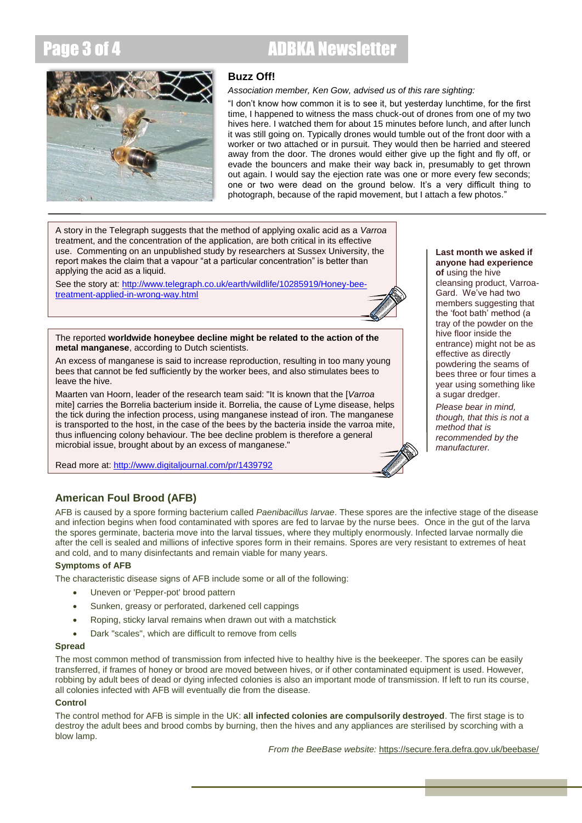# Page 3 of 4 ADBKA Newsletter



#### **Buzz Off!**

#### *Association member, Ken Gow, advised us of this rare sighting:*

"I don't know how common it is to see it, but yesterday lunchtime, for the first time, I happened to witness the mass chuck-out of drones from one of my two hives here. I watched them for about 15 minutes before lunch, and after lunch it was still going on. Typically drones would tumble out of the front door with a worker or two attached or in pursuit. They would then be harried and steered away from the door. The drones would either give up the fight and fly off, or evade the bouncers and make their way back in, presumably to get thrown out again. I would say the ejection rate was one or more every few seconds; one or two were dead on the ground below. It's a very difficult thing to photograph, because of the rapid movement, but I attach a few photos."

A story in the Telegraph suggests that the method of applying oxalic acid as a *Varroa* treatment, and the concentration of the application, are both critical in its effective use. Commenting on an unpublished study by researchers at Sussex University, the report makes the claim that a vapour "at a particular concentration" is better than applying the acid as a liquid.

See the story at: [http://www.telegraph.co.uk/earth/wildlife/10285919/Honey-bee](http://www.telegraph.co.uk/earth/wildlife/10285919/Honey-bee-treatment-applied-in-wrong-way.html)[treatment-applied-in-wrong-way.html](http://www.telegraph.co.uk/earth/wildlife/10285919/Honey-bee-treatment-applied-in-wrong-way.html)



#### The reported **worldwide honeybee decline might be related to the action of the metal manganese**, according to Dutch scientists.

An excess of manganese is said to increase reproduction, resulting in too many young bees that cannot be fed sufficiently by the worker bees, and also stimulates bees to leave the hive.

Maarten van Hoorn, leader of the research team said: "It is known that the [*Varroa* mite] carries the Borrelia bacterium inside it. Borrelia, the cause of Lyme disease, helps the tick during the infection process, using manganese instead of iron. The manganese is transported to the host, in the case of the bees by the bacteria inside the varroa mite, thus influencing colony behaviour. The bee decline problem is therefore a general microbial issue, brought about by an excess of manganese."

Read more at:<http://www.digitaljournal.com/pr/1439792>

#### **Last month we asked if anyone had experience of** using the hive

cleansing product, Varroa-Gard. We've had two members suggesting that the 'foot bath' method (a tray of the powder on the hive floor inside the entrance) might not be as effective as directly powdering the seams of bees three or four times a year using something like a sugar dredger.

*Please bear in mind, though, that this is not a method that is recommended by the manufacturer.*

## **American Foul Brood (AFB)**

AFB is caused by a spore forming bacterium called *Paenibacillus larvae*. These spores are the infective stage of the disease and infection begins when food contaminated with spores are fed to larvae by the nurse bees. Once in the gut of the larva the spores germinate, bacteria move into the larval tissues, where they multiply enormously. Infected larvae normally die after the cell is sealed and millions of infective spores form in their remains. Spores are very resistant to extremes of heat and cold, and to many disinfectants and remain viable for many years.

#### **Symptoms of AFB**

The characteristic disease signs of AFB include some or all of the following:

- Uneven or 'Pepper-pot' brood pattern
- Sunken, greasy or perforated, darkened cell cappings
- Roping, sticky larval remains when drawn out with a matchstick
- Dark "scales", which are difficult to remove from cells

#### **Spread**

The most common method of transmission from infected hive to healthy hive is the beekeeper. The spores can be easily transferred, if frames of honey or brood are moved between hives, or if other contaminated equipment is used. However, robbing by adult bees of dead or dying infected colonies is also an important mode of transmission. If left to run its course, all colonies infected with AFB will eventually die from the disease.

#### **Control**

The control method for AFB is simple in the UK: **all infected colonies are compulsorily destroyed**. The first stage is to destroy the adult bees and brood combs by burning, then the hives and any appliances are sterilised by scorching with a blow lamp.

*From the BeeBase website:* <https://secure.fera.defra.gov.uk/beebase/>